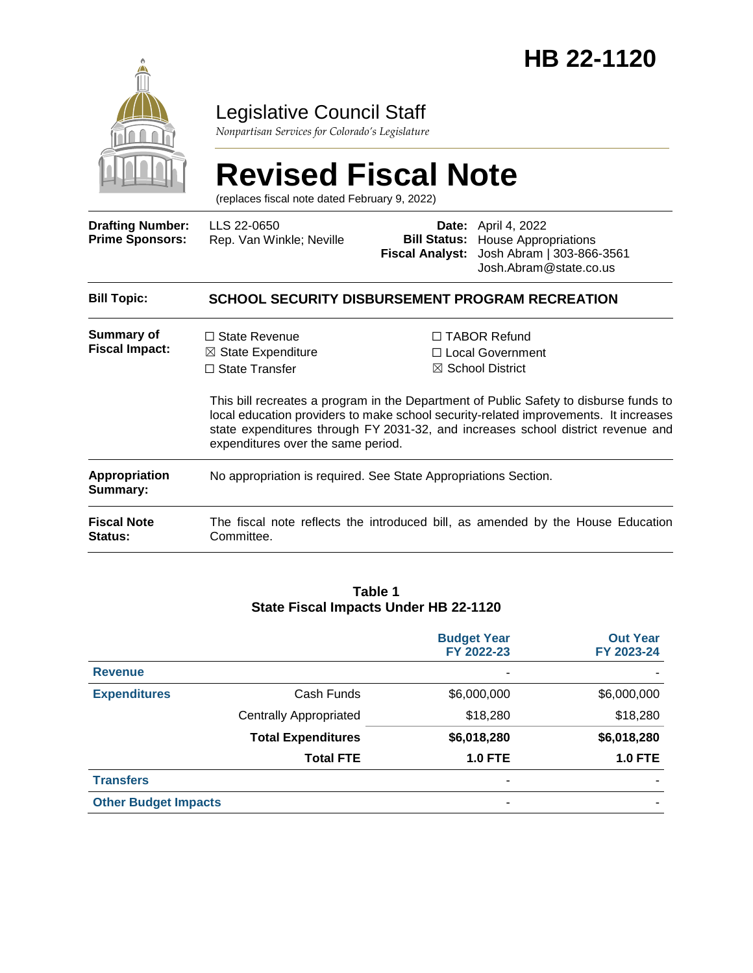

### Legislative Council Staff

*Nonpartisan Services for Colorado's Legislature*

# **Revised Fiscal Note**

(replaces fiscal note dated February 9, 2022)

| <b>Drafting Number:</b><br><b>Prime Sponsors:</b> | LLS 22-0650<br>Rep. Van Winkle; Neville                                                                              | <b>Bill Status:</b><br><b>Fiscal Analyst:</b> | <b>Date:</b> April 4, 2022<br><b>House Appropriations</b><br>Josh Abram   303-866-3561<br>Josh.Abram@state.co.us                                                                                                                                                                                                                              |  |  |  |  |
|---------------------------------------------------|----------------------------------------------------------------------------------------------------------------------|-----------------------------------------------|-----------------------------------------------------------------------------------------------------------------------------------------------------------------------------------------------------------------------------------------------------------------------------------------------------------------------------------------------|--|--|--|--|
| <b>Bill Topic:</b>                                | <b>SCHOOL SECURITY DISBURSEMENT PROGRAM RECREATION</b>                                                               |                                               |                                                                                                                                                                                                                                                                                                                                               |  |  |  |  |
| Summary of<br><b>Fiscal Impact:</b>               | $\Box$ State Revenue<br>$\boxtimes$ State Expenditure<br>$\Box$ State Transfer<br>expenditures over the same period. |                                               | $\Box$ TABOR Refund<br>□ Local Government<br>$\boxtimes$ School District<br>This bill recreates a program in the Department of Public Safety to disburse funds to<br>local education providers to make school security-related improvements. It increases<br>state expenditures through FY 2031-32, and increases school district revenue and |  |  |  |  |
| <b>Appropriation</b><br>Summary:                  | No appropriation is required. See State Appropriations Section.                                                      |                                               |                                                                                                                                                                                                                                                                                                                                               |  |  |  |  |
| <b>Fiscal Note</b><br><b>Status:</b>              | Committee.                                                                                                           |                                               | The fiscal note reflects the introduced bill, as amended by the House Education                                                                                                                                                                                                                                                               |  |  |  |  |

#### **Table 1 State Fiscal Impacts Under HB 22-1120**

|                             |                               | <b>Budget Year</b><br>FY 2022-23 | <b>Out Year</b><br>FY 2023-24 |
|-----------------------------|-------------------------------|----------------------------------|-------------------------------|
| <b>Revenue</b>              |                               | -                                |                               |
| <b>Expenditures</b>         | Cash Funds                    | \$6,000,000                      | \$6,000,000                   |
|                             | <b>Centrally Appropriated</b> | \$18,280                         | \$18,280                      |
|                             | <b>Total Expenditures</b>     | \$6,018,280                      | \$6,018,280                   |
|                             | <b>Total FTE</b>              | <b>1.0 FTE</b>                   | <b>1.0 FTE</b>                |
| <b>Transfers</b>            |                               | -                                |                               |
| <b>Other Budget Impacts</b> |                               | ٠                                |                               |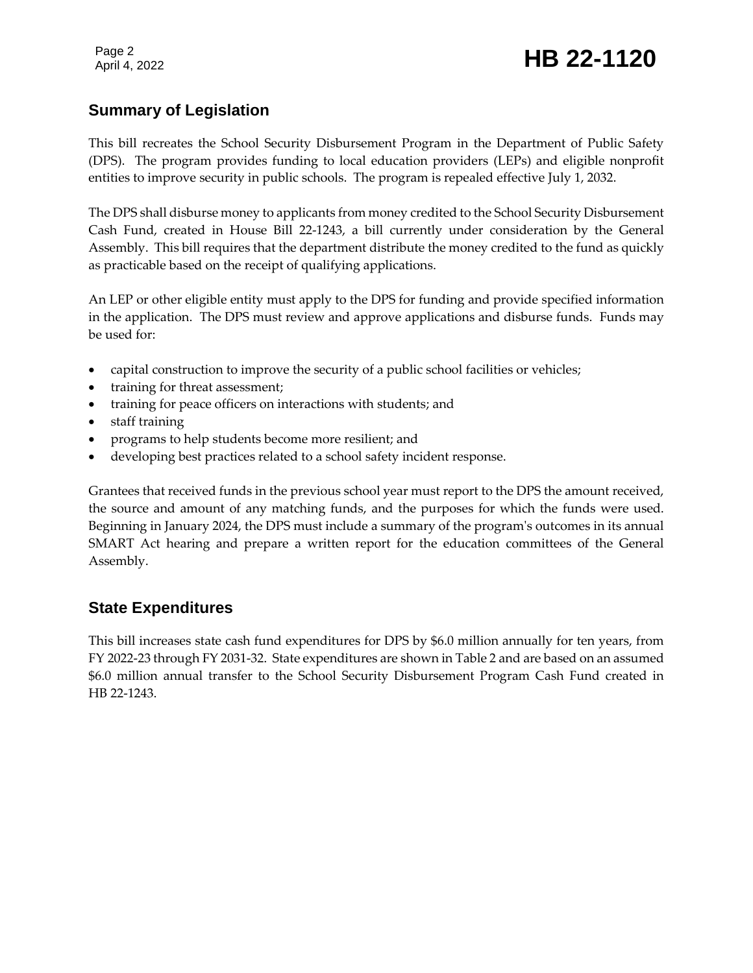## Page 2<br>April 4, 2022 **HB 22-1120**

### **Summary of Legislation**

This bill recreates the School Security Disbursement Program in the Department of Public Safety (DPS). The program provides funding to local education providers (LEPs) and eligible nonprofit entities to improve security in public schools. The program is repealed effective July 1, 2032.

The DPS shall disburse money to applicants from money credited to the School Security Disbursement Cash Fund, created in House Bill 22-1243, a bill currently under consideration by the General Assembly. This bill requires that the department distribute the money credited to the fund as quickly as practicable based on the receipt of qualifying applications.

An LEP or other eligible entity must apply to the DPS for funding and provide specified information in the application. The DPS must review and approve applications and disburse funds. Funds may be used for:

- capital construction to improve the security of a public school facilities or vehicles;
- training for threat assessment;
- training for peace officers on interactions with students; and
- staff training
- programs to help students become more resilient; and
- developing best practices related to a school safety incident response.

Grantees that received funds in the previous school year must report to the DPS the amount received, the source and amount of any matching funds, and the purposes for which the funds were used. Beginning in January 2024, the DPS must include a summary of the program's outcomes in its annual SMART Act hearing and prepare a written report for the education committees of the General Assembly.

### **State Expenditures**

This bill increases state cash fund expenditures for DPS by \$6.0 million annually for ten years, from FY 2022-23 through FY 2031-32. State expenditures are shown in Table 2 and are based on an assumed \$6.0 million annual transfer to the School Security Disbursement Program Cash Fund created in HB 22-1243.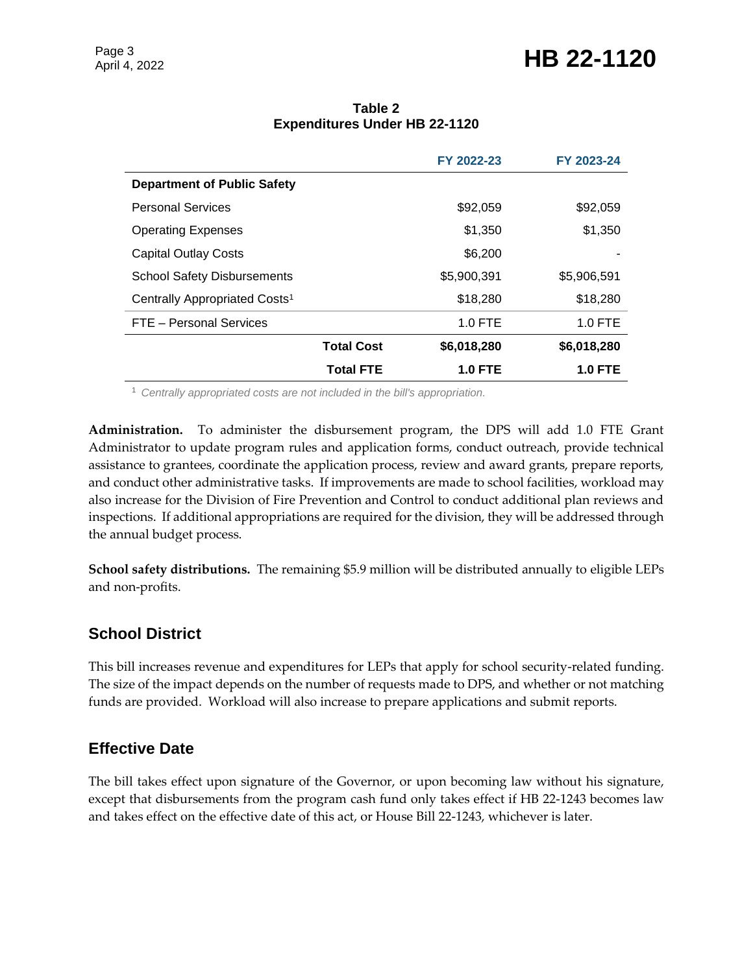### Page 3<br>April 4, 2022 **HB 22-1120**

| Table 2                              |  |  |  |  |  |
|--------------------------------------|--|--|--|--|--|
| <b>Expenditures Under HB 22-1120</b> |  |  |  |  |  |

|                                           |                   | FY 2022-23     | FY 2023-24     |  |
|-------------------------------------------|-------------------|----------------|----------------|--|
| <b>Department of Public Safety</b>        |                   |                |                |  |
| <b>Personal Services</b>                  |                   | \$92,059       | \$92,059       |  |
| <b>Operating Expenses</b>                 |                   | \$1,350        | \$1,350        |  |
| <b>Capital Outlay Costs</b>               |                   | \$6,200        |                |  |
| <b>School Safety Disbursements</b>        |                   | \$5,900,391    | \$5,906,591    |  |
| Centrally Appropriated Costs <sup>1</sup> |                   | \$18,280       | \$18,280       |  |
| FTE - Personal Services                   |                   | $1.0$ FTE      | $1.0$ FTE      |  |
|                                           | <b>Total Cost</b> | \$6,018,280    | \$6,018,280    |  |
|                                           | <b>Total FTE</b>  | <b>1.0 FTE</b> | <b>1.0 FTE</b> |  |

<sup>1</sup> *Centrally appropriated costs are not included in the bill's appropriation.*

**Administration.** To administer the disbursement program, the DPS will add 1.0 FTE Grant Administrator to update program rules and application forms, conduct outreach, provide technical assistance to grantees, coordinate the application process, review and award grants, prepare reports, and conduct other administrative tasks. If improvements are made to school facilities, workload may also increase for the Division of Fire Prevention and Control to conduct additional plan reviews and inspections. If additional appropriations are required for the division, they will be addressed through the annual budget process.

**School safety distributions.** The remaining \$5.9 million will be distributed annually to eligible LEPs and non-profits.

#### **School District**

This bill increases revenue and expenditures for LEPs that apply for school security-related funding. The size of the impact depends on the number of requests made to DPS, and whether or not matching funds are provided. Workload will also increase to prepare applications and submit reports.

### **Effective Date**

The bill takes effect upon signature of the Governor, or upon becoming law without his signature, except that disbursements from the program cash fund only takes effect if HB 22-1243 becomes law and takes effect on the effective date of this act, or House Bill 22-1243, whichever is later.